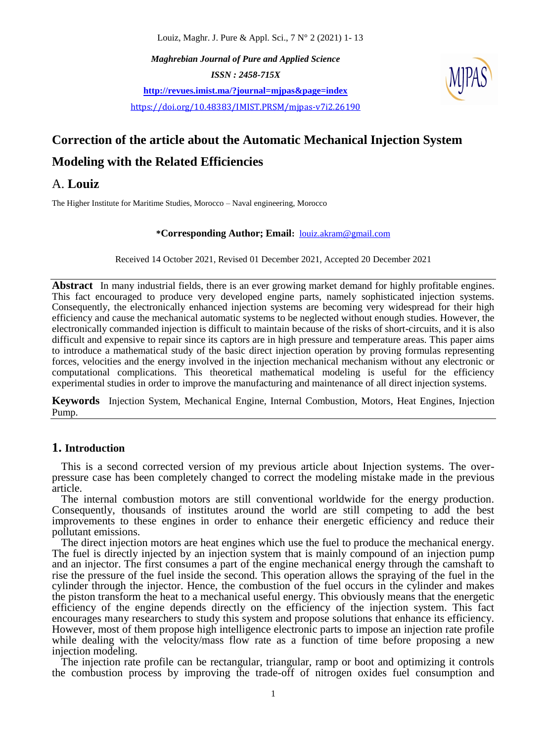Louiz, Maghr. J. Pure & Appl. Sci., 7 N° 2 (2021) 1- 13

*Maghrebian Journal of Pure and Applied Science ISSN : 2458-715X* **<http://revues.imist.ma/?journal=mjpas&page=index>** <https://doi.org/10.48383/IMIST.PRSM/mjpas-v7i2.26190>



# **Correction of the article about the Automatic Mechanical Injection System Modeling with the Related Efficiencies**

## A. **Louiz**

The Higher Institute for Maritime Studies, Morocco – Naval engineering, Morocco

#### **\*Corresponding Author; Email:** [louiz.akram@gmail.com](mailto:louiz.akram@gmail.com)

Received 14 October 2021, Revised 01 December 2021, Accepted 20 December 2021

**Abstract** In many industrial fields, there is an ever growing market demand for highly profitable engines. This fact encouraged to produce very developed engine parts, namely sophisticated injection systems. Consequently, the electronically enhanced injection systems are becoming very widespread for their high efficiency and cause the mechanical automatic systems to be neglected without enough studies. However, the electronically commanded injection is difficult to maintain because of the risks of short-circuits, and it is also difficult and expensive to repair since its captors are in high pressure and temperature areas. This paper aims to introduce a mathematical study of the basic direct injection operation by proving formulas representing forces, velocities and the energy involved in the injection mechanical mechanism without any electronic or computational complications. This theoretical mathematical modeling is useful for the efficiency experimental studies in order to improve the manufacturing and maintenance of all direct injection systems.

**Keywords** Injection System, Mechanical Engine, Internal Combustion, Motors, Heat Engines, Injection Pump.

### **1. Introduction**

This is a second corrected version of my previous article about Injection systems. The overpressure case has been completely changed to correct the modeling mistake made in the previous article.

The internal combustion motors are still conventional worldwide for the energy production. Consequently, thousands of institutes around the world are still competing to add the best improvements to these engines in order to enhance their energetic efficiency and reduce their pollutant emissions.

The direct injection motors are heat engines which use the fuel to produce the mechanical energy. The fuel is directly injected by an injection system that is mainly compound of an injection pump and an injector. The first consumes a part of the engine mechanical energy through the camshaft to rise the pressure of the fuel inside the second. This operation allows the spraying of the fuel in the cylinder through the injector. Hence, the combustion of the fuel occurs in the cylinder and makes the piston transform the heat to a mechanical useful energy. This obviously means that the energetic efficiency of the engine depends directly on the efficiency of the injection system. This fact encourages many researchers to study this system and propose solutions that enhance its efficiency. However, most of them propose high intelligence electronic parts to impose an injection rate profile while dealing with the velocity/mass flow rate as a function of time before proposing a new injection modeling.

The injection rate profile can be rectangular, triangular, ramp or boot and optimizing it controls the combustion process by improving the trade-off of nitrogen oxides fuel consumption and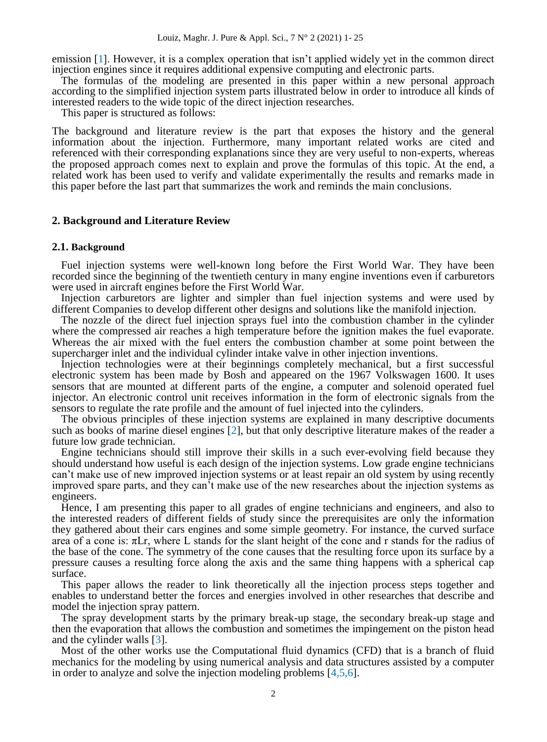emission  $[1]$ . However, it is a complex operation that isn't applied widely yet in the common direct injection engines since it requires additional expensive computing and electronic parts.

The formulas of the modeling are presented in this paper within a new personal approach according to the simplified injection system parts illustrated below in order to introduce all kinds of interested readers to the wide topic of the direct injection researches.

This paper is structured as follows:

The background and literature review is the part that exposes the history and the general information about the injection. Furthermore, many important related works are cited and referenced with their corresponding explanations since they are very useful to non-experts, whereas the proposed approach comes next to explain and prove the formulas of this topic. At the end, a related work has been used to verify and validate experimentally the results and remarks made in this paper before the last part that summarizes the work and reminds the main conclusions.

#### **2. Background and Literature Review**

#### **2.1. Background**

Fuel injection systems were well-known long before the First World War. They have been recorded since the beginning of the twentieth century in many engine inventions even if carburetors were used in aircraft engines before the First World War.

Injection carburetors are lighter and simpler than fuel injection systems and were used by different Companies to develop different other designs and solutions like the manifold injection.

The nozzle of the direct fuel injection sprays fuel into the combustion chamber in the cylinder where the compressed air reaches a high temperature before the ignition makes the fuel evaporate. Whereas the air mixed with the fuel enters the combustion chamber at some point between the supercharger inlet and the individual cylinder intake valve in other injection inventions.

Injection technologies were at their beginnings completely mechanical, but a first successful electronic system has been made by Bosh and appeared on the 1967 Volkswagen 1600. It uses sensors that are mounted at different parts of the engine, a computer and solenoid operated fuel injector. An electronic control unit receives information in the form of electronic signals from the sensors to regulate the rate profile and the amount of fuel injected into the cylinders.

The obvious principles of these injection systems are explained in many descriptive documents such as books of marine diesel engines [2], but that only descriptive literature makes of the reader a future low grade technician.

Engine technicians should still improve their skills in a such ever-evolving field because they should understand how useful is each design of the injection systems. Low grade engine technicians can't make use of new improved injection systems or at least repair an old system by using recently improved spare parts, and they can't make use of the new researches about the injection systems as engineers.

Hence, I am presenting this paper to all grades of engine technicians and engineers, and also to the interested readers of different fields of study since the prerequisites are only the information they gathered about their cars engines and some simple geometry. For instance, the curved surface area of a cone is:  $\pi Lr$ , where L stands for the slant height of the cone and r stands for the radius of the base of the cone. The symmetry of the cone causes that the resulting force upon its surface by a pressure causes a resulting force along the axis and the same thing happens with a spherical cap surface.

This paper allows the reader to link theoretically all the injection process steps together and enables to understand better the forces and energies involved in other researches that describe and model the injection spray pattern.

The spray development starts by the primary break-up stage, the secondary break-up stage and then the evaporation that allows the combustion and sometimes the impingement on the piston head and the cylinder walls [3].

Most of the other works use the Computational fluid dynamics (CFD) that is a branch of fluid mechanics for the modeling by using numerical analysis and data structures assisted by a computer in order to analyze and solve the injection modeling problems [4,5,6].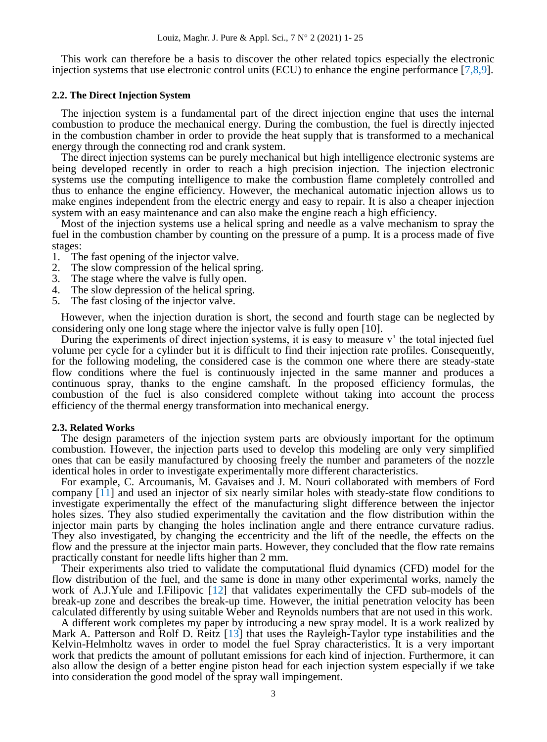This work can therefore be a basis to discover the other related topics especially the electronic injection systems that use electronic control units (ECU) to enhance the engine performance [7,8,9].

#### **2.2. The Direct Injection System**

The injection system is a fundamental part of the direct injection engine that uses the internal combustion to produce the mechanical energy. During the combustion, the fuel is directly injected in the combustion chamber in order to provide the heat supply that is transformed to a mechanical energy through the connecting rod and crank system.

The direct injection systems can be purely mechanical but high intelligence electronic systems are being developed recently in order to reach a high precision injection. The injection electronic systems use the computing intelligence to make the combustion flame completely controlled and thus to enhance the engine efficiency. However, the mechanical automatic injection allows us to make engines independent from the electric energy and easy to repair. It is also a cheaper injection system with an easy maintenance and can also make the engine reach a high efficiency.

Most of the injection systems use a helical spring and needle as a valve mechanism to spray the fuel in the combustion chamber by counting on the pressure of a pump. It is a process made of five stages:

- 1. The fast opening of the injector valve.<br>2. The slow compression of the helical sr
- 2. The slow compression of the helical spring.<br>3. The stage where the valve is fully open.
- The stage where the valve is fully open.
- 4. The slow depression of the helical spring.
- 5. The fast closing of the injector valve.

However, when the injection duration is short, the second and fourth stage can be neglected by considering only one long stage where the injector valve is fully open [10].

During the experiments of direct injection systems, it is easy to measure  $v'$  the total injected fuel volume per cycle for a cylinder but it is difficult to find their injection rate profiles. Consequently, for the following modeling, the considered case is the common one where there are steady-state flow conditions where the fuel is continuously injected in the same manner and produces a continuous spray, thanks to the engine camshaft. In the proposed efficiency formulas, the combustion of the fuel is also considered complete without taking into account the process efficiency of the thermal energy transformation into mechanical energy.

#### **2.3. Related Works**

The design parameters of the injection system parts are obviously important for the optimum combustion. However, the injection parts used to develop this modeling are only very simplified ones that can be easily manufactured by choosing freely the number and parameters of the nozzle identical holes in order to investigate experimentally more different characteristics.

For example, C. Arcoumanis, M. Gavaises and J. M. Nouri collaborated with members of Ford company [11] and used an injector of six nearly similar holes with steady-state flow conditions to investigate experimentally the effect of the manufacturing slight difference between the injector holes sizes. They also studied experimentally the cavitation and the flow distribution within the injector main parts by changing the holes inclination angle and there entrance curvature radius. They also investigated, by changing the eccentricity and the lift of the needle, the effects on the flow and the pressure at the injector main parts. However, they concluded that the flow rate remains practically constant for needle lifts higher than 2 mm.

Their experiments also tried to validate the computational fluid dynamics (CFD) model for the flow distribution of the fuel, and the same is done in many other experimental works, namely the work of A.J.Yule and I.Filipovic [12] that validates experimentally the CFD sub-models of the break-up zone and describes the break-up time. However, the initial penetration velocity has been calculated differently by using suitable Weber and Reynolds numbers that are not used in this work.

A different work completes my paper by introducing a new spray model. It is a work realized by Mark A. Patterson and Rolf D. Reitz [13] that uses the Rayleigh-Taylor type instabilities and the Kelvin-Helmholtz waves in order to model the fuel Spray characteristics. It is a very important work that predicts the amount of pollutant emissions for each kind of injection. Furthermore, it can also allow the design of a better engine piston head for each injection system especially if we take into consideration the good model of the spray wall impingement.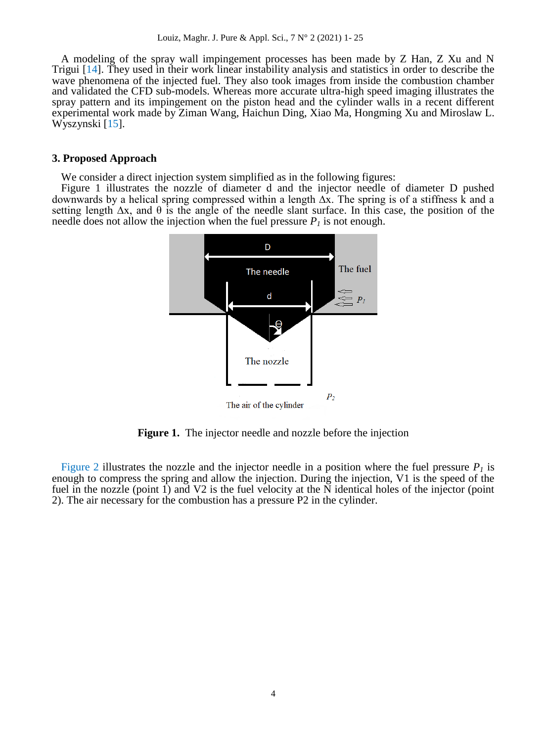A modeling of the spray wall impingement processes has been made by Z Han, Z Xu and N Trigui [14]. They used in their work linear instability analysis and statistics in order to describe the wave phenomena of the injected fuel. They also took images from inside the combustion chamber and validated the CFD sub-models. Whereas more accurate ultra-high speed imaging illustrates the spray pattern and its impingement on the piston head and the cylinder walls in a recent different experimental work made by Ziman Wang, Haichun Ding, Xiao Ma, Hongming Xu and Miroslaw L. Wyszynski [15].

#### **3. Proposed Approach**

We consider a direct injection system simplified as in the following figures:

Figure 1 illustrates the nozzle of diameter d and the injector needle of diameter D pushed downwards by a helical spring compressed within a length ∆x. The spring is of a stiffness k and a setting length  $\Delta x$ , and  $\theta$  is the angle of the needle slant surface. In this case, the position of the needle does not allow the injection when the fuel pressure  $P_I$  is not enough.



**Figure 1.** The injector needle and nozzle before the injection

Figure 2 illustrates the nozzle and the injector needle in a position where the fuel pressure  $P_I$  is enough to compress the spring and allow the injection. During the injection, V1 is the speed of the fuel in the nozzle (point 1) and V2 is the fuel velocity at the N identical holes of the injector (point 2). The air necessary for the combustion has a pressure P2 in the cylinder.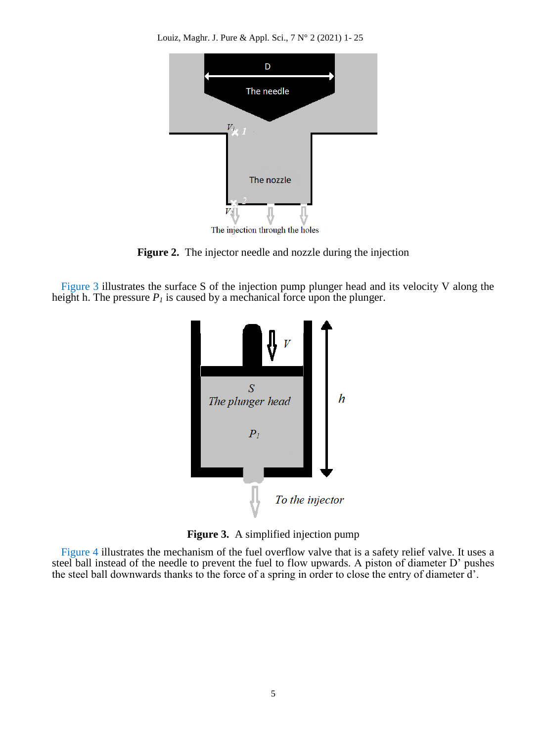Louiz, Maghr. J. Pure & Appl. Sci., 7 N° 2 (2021) 1- 25



**Figure 2.** The injector needle and nozzle during the injection

Figure 3 illustrates the surface S of the injection pump plunger head and its velocity V along the height h. The pressure *P<sup>1</sup>* is caused by a mechanical force upon the plunger.



**Figure 3.** A simplified injection pump

Figure 4 illustrates the mechanism of the fuel overflow valve that is a safety relief valve. It uses a steel ball instead of the needle to prevent the fuel to flow upwards. A piston of diameter D' pushes the steel ball downwards thanks to the force of a spring in order to close the entry of diameter d'.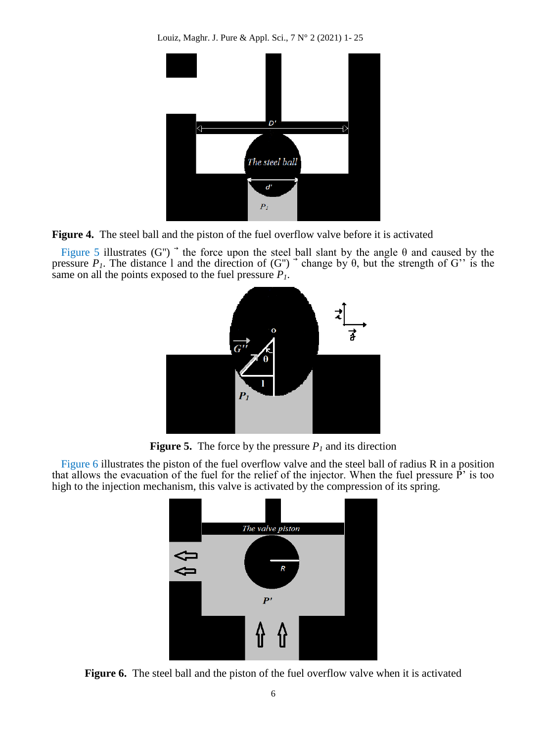Louiz, Maghr. J. Pure & Appl. Sci., 7 N° 2 (2021) 1- 25



**Figure 4.** The steel ball and the piston of the fuel overflow valve before it is activated

Figure 5 illustrates (G'')<sup>-</sup> the force upon the steel ball slant by the angle  $\theta$  and caused by the pressure  $P_I$ . The distance 1 and the direction of (G'')<sup>-</sup> change by  $\theta$ , but the strength of G'' is the same on all the points exposed to the fuel pressure *P1*.



**Figure 5.** The force by the pressure  $P_I$  and its direction

Figure 6 illustrates the piston of the fuel overflow valve and the steel ball of radius R in a position that allows the evacuation of the fuel for the relief of the injector. When the fuel pressure  $\tilde{P}'$  is too high to the injection mechanism, this valve is activated by the compression of its spring.



**Figure 6.** The steel ball and the piston of the fuel overflow valve when it is activated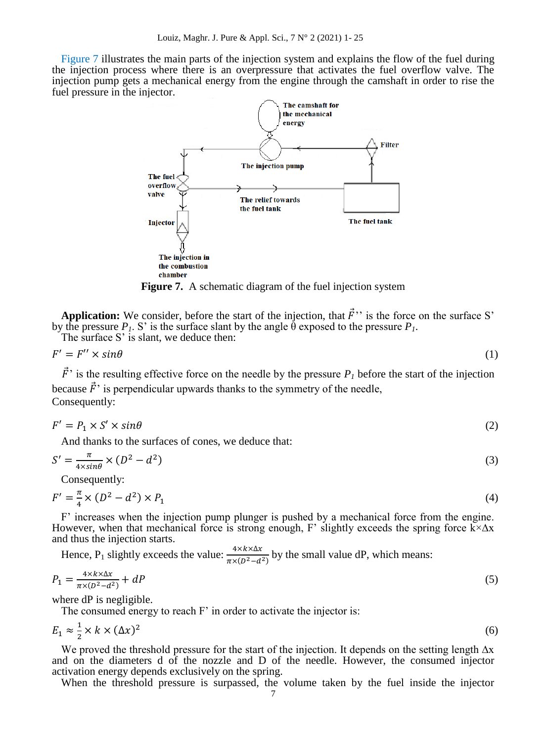Figure 7 illustrates the main parts of the injection system and explains the flow of the fuel during the injection process where there is an overpressure that activates the fuel overflow valve. The injection pump gets a mechanical energy from the engine through the camshaft in order to rise the fuel pressure in the injector.



**Figure 7.** A schematic diagram of the fuel injection system

**Application:** [We consider, before the start of the injection, that](http://www.fao.org/wairdocs/ilri/x5465e/x5465e06.htm#phase 1. typification of dairy systems)  $\vec{F}$ " is the force on the surface S' by the pressure  $P_I$ . S' is the surface slant by the angle  $\hat{\theta}$  exposed to the pressure  $P_I$ .

The surface S' is slant, we deduce then:

$$
F' = F'' \times \sin \theta \tag{1}
$$

 $\vec{F}$  is the resulting effective force on the needle by the pressure  $P_I$  before the start of the injection because  $\vec{F}$  is perpendicular upwards thanks to the symmetry of the needle, Consequently:

$$
F' = P_1 \times S' \times \sin\theta \tag{2}
$$

And thanks to the surfaces of cones, we deduce that:

$$
S' = \frac{\pi}{4 \times \sin \theta} \times (D^2 - d^2) \tag{3}
$$

Consequently:

$$
F' = \frac{\pi}{4} \times (D^2 - d^2) \times P_1 \tag{4}
$$

F' increases when the injection pump plunger is pushed by a mechanical force from the engine. However, when that mechanical force is strong enough, F' slightly exceeds the spring force  $\bar{k} \times \Delta x$ and thus the injection starts.

Hence, P<sub>1</sub> slightly exceeds the value:  $\frac{4 \lambda \lambda \lambda \Delta x}{\pi \times (D^2 - d^2)}$  by the small value dP, which means:

$$
P_1 = \frac{4 \times k \times \Delta x}{\pi \times (D^2 - d^2)} + dP \tag{5}
$$

where dP is negligible.

The consumed energy to reach  $F'$  in order to activate the injector is:

$$
E_1 \approx \frac{1}{2} \times k \times (\Delta x)^2 \tag{6}
$$

We proved the threshold pressure for the start of the injection. It depends on the setting length  $\Delta x$ and on the diameters d of the nozzle and D of the needle. However, the consumed injector activation energy depends exclusively on the spring.

When the threshold pressure is surpassed, the volume taken by the fuel inside the injector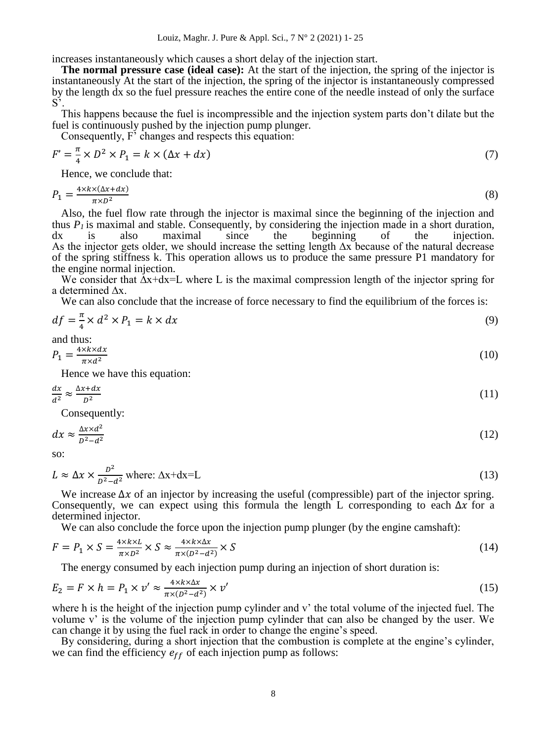increases instantaneously which causes a short delay of the injection start.

**The normal pressure case (ideal case):** At the start of the injection, the spring of the injector is instantaneously [At the start of the injection, the spring of the injector is instantaneously compressed](http://www.fao.org/wairdocs/ilri/x5465e/x5465e06.htm#phase 3. seeking ways to enhance the development of specific dairy systems)  [by the length dx so the fuel pressure reaches the entire cone of the needle instead of only the surface](http://www.fao.org/wairdocs/ilri/x5465e/x5465e06.htm#phase 3. seeking ways to enhance the development of specific dairy systems)   $S^5$ 

This happens because the fuel is incompressible and the injection system parts don't dilate but the [fuel is continuously pushed by the injection pump plunger.](http://www.fao.org/wairdocs/ilri/x5465e/x5465e06.htm#phase 3. seeking ways to enhance the development of specific dairy systems)

Consequently, F<sup>'</sup> changes and respects this equation:

$$
F' = \frac{\pi}{4} \times D^2 \times P_1 = k \times (\Delta x + dx) \tag{7}
$$

Hence, we conclude that:

$$
P_1 = \frac{4 \times k \times (\Delta x + dx)}{\pi \times D^2} \tag{8}
$$

Also, the fuel flow rate through the injector is maximal since the beginning of the injection and thus  $P_I$  is maximal and stable. Consequently, by considering the injection made in a short duration,  $dx$  is also maximal since the beginning of the injection. dx is also maximal since the beginning of the injection. As the injector gets older, we should increase the setting length ∆x because of the natural decrease of the spring stiffness k. This operation allows us to produce the same pressure P1 mandatory for the engine normal injection.

We consider that  $\Delta x + dx = L$  where L is the maximal compression length of the injector spring for a determined ∧x.

We can also conclude that the increase of force necessary to find the equilibrium of the forces is:

$$
df = \frac{\pi}{4} \times d^2 \times P_1 = k \times dx \tag{9}
$$

and thus:

$$
P_1 = \frac{4 \times k \times dx}{\pi \times d^2} \tag{10}
$$

Hence we have this equation:

$$
\frac{dx}{d^2} \approx \frac{\Delta x + dx}{D^2} \tag{11}
$$

Consequently:

$$
dx \approx \frac{\Delta x \times d^2}{D^2 - d^2} \tag{12}
$$

so:

$$
L \approx \Delta x \times \frac{D^2}{D^2 - d^2} \text{ where: } \Delta x + d x = L \tag{13}
$$

We increase  $\Delta x$  of an injector by increasing the useful (compressible) part of the injector spring. Consequently, we can expect using this formula the length L corresponding to each  $\Delta x$  for a determined injector.

We can also conclude the force upon the injection pump plunger (by the engine camshaft):

$$
F = P_1 \times S = \frac{4 \times k \times L}{\pi \times D^2} \times S \approx \frac{4 \times k \times \Delta x}{\pi \times (D^2 - d^2)} \times S \tag{14}
$$

The energy consumed by each injection pump during an injection of short duration is:

$$
E_2 = F \times h = P_1 \times v' \approx \frac{4 \times k \times \Delta x}{\pi \times (D^2 - d^2)} \times v'
$$
\n(15)

where h is the height of the injection pump cylinder and v' the total volume of the injected fuel. The volume v' is the volume of the injection pump cylinder that can also be changed by the user. We can change it by using the fuel rack in order to change the engine's speed.

By considering, during a short injection that the combustion is complete at the engine's cylinder, we can find the efficiency  $e_{ff}$  of each injection pump as follows: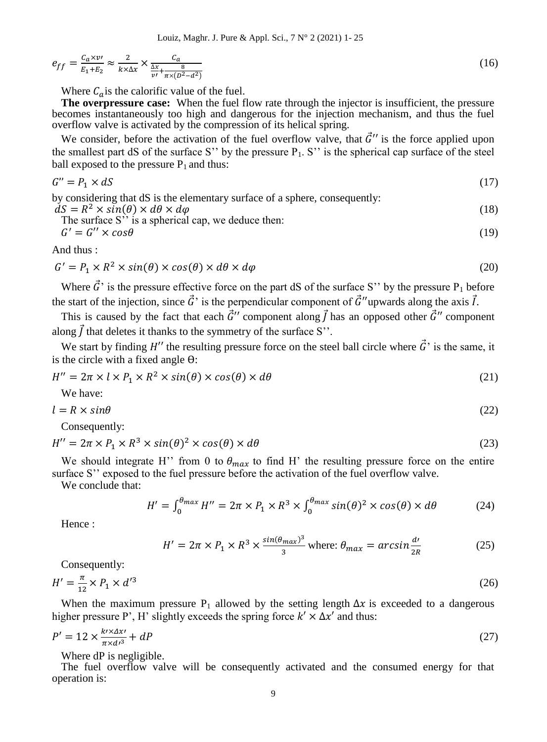Louiz, Maghr. J. Pure & Appl. Sci., 7 N° 2 (2021) 1- 25

$$
e_{ff} = \frac{c_a \times \nu}{E_1 + E_2} \approx \frac{2}{k \times \Delta x} \times \frac{c_a}{\frac{\Delta x}{\nu'} + \frac{8}{\pi \times (D^2 - d^2)}}\tag{16}
$$

Where  $C_a$  is the calorific value of the fuel.

**[The overpressure case:](http://www.fao.org/wairdocs/ilri/x5465e/x5465e06.htm#phase 4: cross site synthesis)** When the fuel flow rate through the injector is insufficient, the pressure becomes instantaneously too high and dangerous for the injection mechanism, and thus the fuel overflow valve is activated by the compression of its helical spring.

We consider, before the activation of the fuel overflow valve, that  $\vec{G}$ " is the force applied upon the smallest part dS of the surface S'' by the pressure  $P_1$ . S'' is the spherical cap surface of the steel ball exposed to the pressure  $P_1$  and thus:

$$
G'' = P_1 \times dS \tag{17}
$$

by considering that dS is the elementary surface of a sphere, consequently:  $\dot{dS} = R^2 \times \sin(\theta) \times d\theta \times d\varphi$  (18)

The surface S'' is a spherical cap, we deduce then:  
\n
$$
G' = G'' \times \cos \theta
$$
\n(19)

And thus :

$$
G' = P_1 \times R^2 \times \sin(\theta) \times \cos(\theta) \times d\theta \times d\varphi
$$
 (20)

Where  $\vec{G}$ ' is the pressure effective force on the part dS of the surface S'' by the pressure P<sub>1</sub> before the start of the injection, since  $\vec{G}$  is the perpendicular component of  $\vec{G}$ "upwards along the axis  $\vec{l}$ .

This is caused by the fact that each  $\vec{G}$ " component along  $\vec{f}$  has an opposed other  $\vec{G}$ " component along  $\vec{l}$  that deletes it thanks to the symmetry of the surface S''.

We start by finding H'' the resulting pressure force on the steel ball circle where  $\vec{G}$ ' is the same, it is the circle with a fixed angle ϴ:

$$
H'' = 2\pi \times l \times P_1 \times R^2 \times \sin(\theta) \times \cos(\theta) \times d\theta \tag{21}
$$

We have:

$$
l = R \times \sin\theta \tag{22}
$$

Consequently:

$$
H'' = 2\pi \times P_1 \times R^3 \times \sin(\theta)^2 \times \cos(\theta) \times d\theta \tag{23}
$$

We should integrate H'' from 0 to  $\theta_{max}$  to find H' the resulting pressure force on the entire surface S'' exposed to the fuel pressure before the activation of the fuel overflow valve.

We conclude that:

$$
H' = \int_0^{\theta_{max}} H'' = 2\pi \times P_1 \times R^3 \times \int_0^{\theta_{max}} \sin(\theta)^2 \times \cos(\theta) \times d\theta \tag{24}
$$

Hence :

$$
H' = 2\pi \times P_1 \times R^3 \times \frac{\sin(\theta_{max})^3}{3} \text{ where: } \theta_{max} = \arcsin \frac{d'}{2R}
$$
 (25)

Consequently:

$$
H' = \frac{\pi}{12} \times P_1 \times d'^3 \tag{26}
$$

When the maximum pressure P<sub>1</sub> allowed by the setting length  $\Delta x$  is exceeded to a dangerous higher pressure P', H' slightly exceeds the spring force  $k' \times \Delta x'$  and thus:

$$
P' = 12 \times \frac{k \cdot x \Delta x'}{\pi \times d^3} + dP \tag{27}
$$

Where dP is negligible.

The fuel overflow valve will be consequently activated and the consumed energy for that operation is: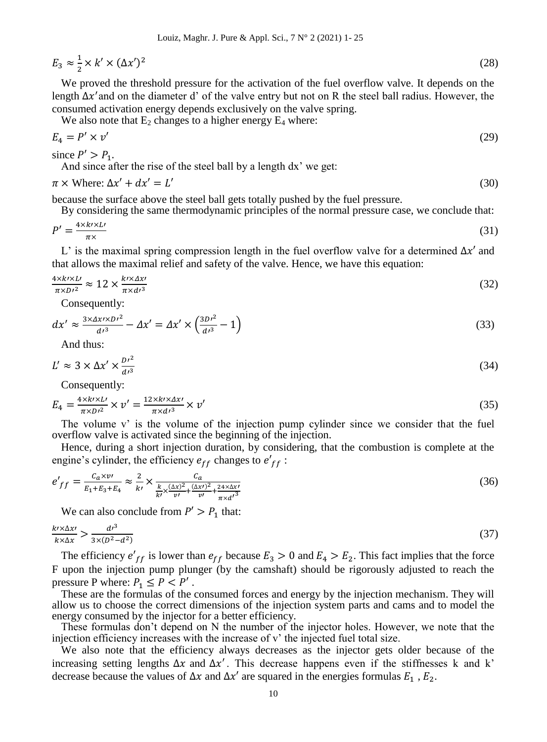$$
E_3 \approx \frac{1}{2} \times k' \times (\Delta x')^2 \tag{28}
$$

We proved the threshold pressure for the activation of the fuel overflow valve. It depends on the length  $\Delta x'$  and on the diameter d' of the valve entry but not on R the steel ball radius. However, the consumed activation energy depends exclusively on the valve spring.

We also note that  $E_2$  changes to a higher energy  $E_4$  where:

$$
E_4 = P' \times v' \tag{29}
$$

since 
$$
P' > P_1
$$
.

And since after the rise of the steel ball by a length dx' we get:

$$
\pi \times \text{Where: } \Delta x' + dx' = L' \tag{30}
$$

because the surface above the steel ball gets totally pushed by the fuel pressure.

By considering the same thermodynamic principles of the normal pressure case, we conclude that:

$$
P' = \frac{4 \times k \times L'}{\pi \times} \tag{31}
$$

L' is the maximal spring compression length in the fuel overflow valve for a determined  $\Delta x'$  and that allows the maximal relief and safety of the valve. Hence, we have this equation:

$$
\frac{4 \times k \times L'}{\pi \times D'^2} \approx 12 \times \frac{k \times \Delta x'}{\pi \times d'^3} \tag{32}
$$

Consequently:

$$
dx' \approx \frac{3 \times \Delta x \times D r^2}{d r^3} - \Delta x' = \Delta x' \times \left(\frac{3D r^2}{d r^3} - 1\right)
$$
\n(33)

And thus:

$$
L' \approx 3 \times \Delta x' \times \frac{Dt^2}{dt^3} \tag{34}
$$

Consequently:

$$
E_4 = \frac{4 \times k \times L}{\pi \times D'^2} \times v' = \frac{12 \times k \times \Delta x'}{\pi \times d^3} \times v'
$$
\n(35)

The volume v' is the volume of the injection pump cylinder since we consider that the fuel overflow valve is activated since the beginning of the injection.

Hence, during a short injection duration, by considering, that the combustion is complete at the engine's cylinder, the efficiency  $e_{ff}$  changes to  $e'_{ff}$ :

$$
e'_{ff} = \frac{c_a x v}{E_1 + E_3 + E_4} \approx \frac{2}{k'} \times \frac{c_a}{\frac{k}{k'} \times \frac{(\Delta x)^2}{v'} + \frac{(\Delta x')^2}{v'} + \frac{24 \times \Delta x'}{w'} + \frac{24 \times \Delta x'}{\pi \times d'}},
$$
(36)

We can also conclude from  $P' > P_1$  that:

$$
\frac{k \cdot \times \Delta x}{k \times \Delta x} > \frac{d^{3}}{3 \times (D^{2} - d^{2})} \tag{37}
$$

The efficiency  $e'_{ff}$  is lower than  $e_{ff}$  because  $E_3 > 0$  and  $E_4 > E_2$ . This fact implies that the force F upon the injection pump plunger (by the camshaft) should be rigorously adjusted to reach the pressure P where:  $P_1 \le P < P'$ .

These are the formulas of the consumed forces and energy by the injection mechanism. They will allow us to choose the correct dimensions of the injection system parts and cams and to model the energy consumed by the injector for a better efficiency.

These formulas don't depend on N the number of the injector holes. However, we note that the injection efficiency increases with the increase of v' the injected fuel total size.

We also note that the efficiency always decreases as the injector gets older because of the increasing setting lengths  $\Delta x$  and  $\Delta x'$ . This decrease happens even if the stiffnesses k and k' decrease because the values of  $\Delta x$  and  $\Delta x'$  are squared in the energies formulas  $E_1$ ,  $E_2$ .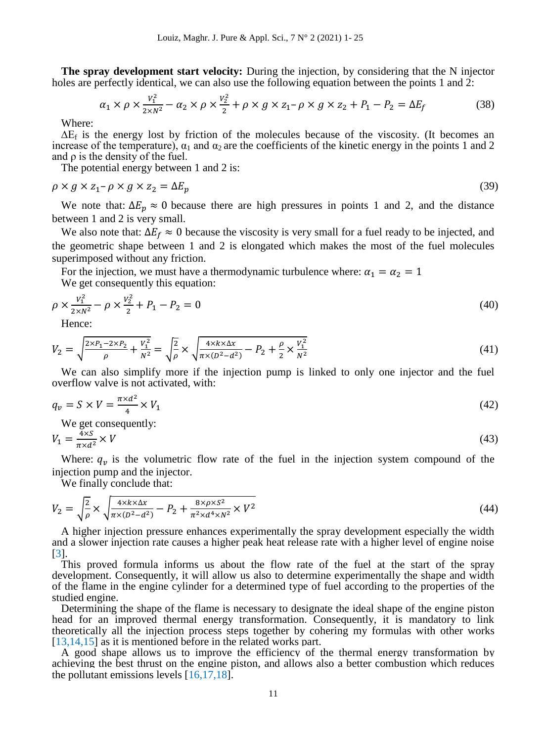**The spray development start velocity:** During the injection, by considering that the N injector holes are perfectly identical, we can also use the following equation between the points 1 and 2:

$$
\alpha_1 \times \rho \times \frac{v_1^2}{2 \times N^2} - \alpha_2 \times \rho \times \frac{v_2^2}{2} + \rho \times g \times z_1 - \rho \times g \times z_2 + P_1 - P_2 = \Delta E_f
$$
\n(38)

Where:

 $\Delta E_f$  is the energy lost by friction of the molecules because of the viscosity. (It becomes an increase of the temperature),  $\alpha_1$  and  $\alpha_2$  are the coefficients of the kinetic energy in the points 1 and 2 and  $\rho$  is the density of the fuel.

The potential energy between 1 and 2 is:

$$
\rho \times g \times z_1 - \rho \times g \times z_2 = \Delta E_p \tag{39}
$$

We note that:  $\Delta E_p \approx 0$  because there are high pressures in points 1 and 2, and the distance between 1 and 2 is very small.

We also note that:  $\Delta E_f \approx 0$  because the viscosity is very small for a fuel ready to be injected, and the geometric shape between 1 and 2 is elongated which makes the most of the fuel molecules superimposed without any friction.

For the injection, we must have a thermodynamic turbulence where:  $\alpha_1 = \alpha_2 = 1$ We get consequently this equation:

$$
\rho \times \frac{v_1^2}{2 \times N^2} - \rho \times \frac{v_2^2}{2} + P_1 - P_2 = 0 \tag{40}
$$

Hence:

$$
V_2 = \sqrt{\frac{2 \times P_1 - 2 \times P_2}{\rho} + \frac{V_1^2}{N^2}} = \sqrt{\frac{2}{\rho}} \times \sqrt{\frac{4 \times k \times \Delta x}{\pi \times (D^2 - d^2)}} - P_2 + \frac{\rho}{2} \times \frac{V_1^2}{N^2}
$$
(41)

We can also simplify more if the injection pump is linked to only one injector and the fuel overflow valve is not activated, with:

$$
q_v = S \times V = \frac{\pi \times d^2}{4} \times V_1 \tag{42}
$$

We get consequently:

$$
V_1 = \frac{4 \times S}{\pi \times d^2} \times V \tag{43}
$$

Where:  $q_v$  is the volumetric flow rate of the fuel in the injection system compound of the injection pump and the injector.

We finally conclude that:

$$
V_2 = \sqrt{\frac{2}{\rho}} \times \sqrt{\frac{4 \times k \times \Delta x}{\pi \times (D^2 - d^2)}} - P_2 + \frac{8 \times \rho \times S^2}{\pi^2 \times d^4 \times N^2} \times V^2}
$$
(44)

A higher injection pressure enhances experimentally the spray development especially the width and a slower injection rate causes a higher peak heat release rate with a higher level of engine noise [3].

This proved formula informs us about the flow rate of the fuel at the start of the spray development. Consequently, it will allow us also to determine experimentally the shape and width of the flame in the engine cylinder for a determined type of fuel according to the properties of the studied engine.

Determining the shape of the flame is necessary to designate the ideal shape of the engine piston head for an improved thermal energy transformation. Consequently, it is mandatory to link theoretically all the injection process steps together by cohering my formulas with other works [13,14,15] as it is mentioned before in the related works part.

A good shape allows us to improve the [efficiency](https://en.wikipedia.org/wiki/Fuel_efficiency) of the thermal energy transformation by achieving the best thrust on the engine piston, and allows also a better combustion which reduces the pollutant emissions levels [16,17,18].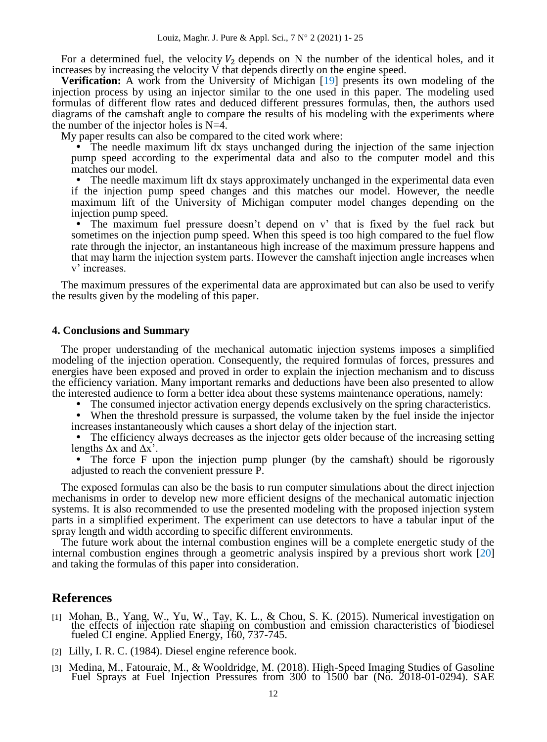For a determined fuel, the velocity  $V_2$  depends on N the number of the identical holes, and it increases by increasing the velocity V that depends directly on the engine speed.

**Verification:** A work from the University of Michigan [19] presents its own modeling of the injection process by using an injector similar to the one used in this paper. The modeling used formulas of different flow rates and deduced different pressures formulas, then, the authors used diagrams of the camshaft angle to compare the results of his modeling with the experiments where the number of the injector holes is  $N=4$ .

My paper results can also be compared to the cited work where:

 The needle maximum lift dx stays unchanged during the injection of the same injection pump speed according to the experimental data and also to the computer model and this matches our model.

• The needle maximum lift dx stays approximately unchanged in the experimental data even if the injection pump speed changes and this matches our model. However, the needle maximum lift of the University of Michigan computer model changes depending on the injection pump speed.

 The maximum fuel pressure doesn't depend on v' that is fixed by the fuel rack but sometimes on the injection pump speed. When this speed is too high compared to the fuel flow rate through the injector, an instantaneous high increase of the maximum pressure happens and that may harm the injection system parts. However the camshaft injection angle increases when v'increases.

The maximum pressures of the experimental data are approximated but can also be used to verify the results given by the modeling of this paper.

#### **4. Conclusions and Summary**

The proper understanding of the mechanical automatic injection systems imposes a simplified modeling of the injection operation. Consequently, the required formulas of forces, pressures and energies have been exposed and proved in order to explain the injection mechanism and to discuss the efficiency variation. Many important remarks and deductions have been also presented to allow the interested audience to form a better idea about these systems maintenance operations, namely:

- The consumed injector activation energy depends exclusively on the spring characteristics.
- When the threshold pressure is surpassed, the volume taken by the fuel inside the injector increases instantaneously which causes a short delay of the injection start.

 The efficiency always decreases as the injector gets older because of the increasing setting lengths  $\Delta x$  and  $\Delta x'$ .

 The force F upon the injection pump plunger (by the camshaft) should be rigorously adjusted to reach the convenient pressure P.

The exposed formulas can also be the basis to run computer simulations about the direct injection mechanisms in order to develop new more efficient designs of the mechanical automatic injection systems. It is also recommended to use the presented modeling with the proposed injection system parts in a simplified experiment. The experiment can use detectors to have a tabular input of the spray length and width according to specific different environments.

The future work about the internal combustion engines will be a complete energetic study of the internal combustion engines through a geometric analysis inspired by a previous short work [20] and taking the formulas of this paper into consideration.

## **References**

- [1] Mohan, B., Yang, W., Yu, W., Tay, K. L., & Chou, S. K. (2015). Numerical investigation on the effects of injection rate shaping on combustion and emission characteristics of biodiesel fueled CI engine. Applied Energy, 160, 737-745.
- [2] Lilly, I. R. C. (1984). Diesel engine reference book.
- [3] Medina, M., Fatouraie, M., & Wooldridge, M. (2018). High-Speed Imaging Studies of Gasoline Fuel Sprays at Fuel Injection Pressures from 300 to 1500 bar (No. 2018-01-0294). SAE